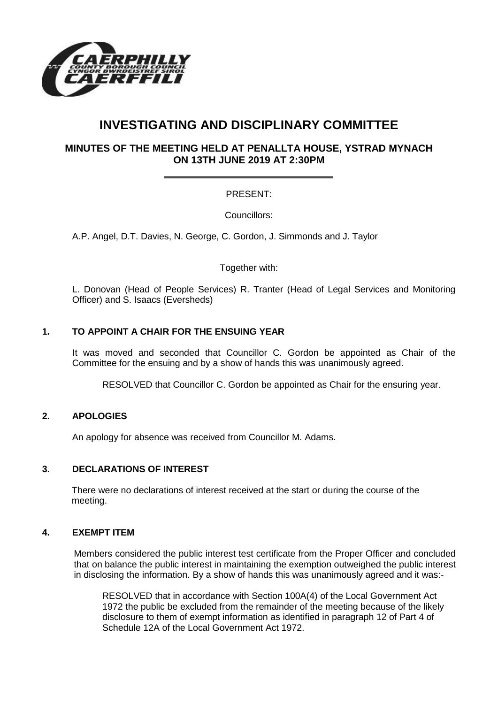

# **INVESTIGATING AND DISCIPLINARY COMMITTEE**

# **MINUTES OF THE MEETING HELD AT PENALLTA HOUSE, YSTRAD MYNACH ON 13TH JUNE 2019 AT 2:30PM**

# PRESENT:

Councillors:

A.P. Angel, D.T. Davies, N. George, C. Gordon, J. Simmonds and J. Taylor

Together with:

L. Donovan (Head of People Services) R. Tranter (Head of Legal Services and Monitoring Officer) and S. Isaacs (Eversheds)

## **1. TO APPOINT A CHAIR FOR THE ENSUING YEAR**

It was moved and seconded that Councillor C. Gordon be appointed as Chair of the Committee for the ensuing and by a show of hands this was unanimously agreed.

RESOLVED that Councillor C. Gordon be appointed as Chair for the ensuring year.

## **2. APOLOGIES**

An apology for absence was received from Councillor M. Adams.

### **3. DECLARATIONS OF INTEREST**

There were no declarations of interest received at the start or during the course of the meeting.

### **4. EXEMPT ITEM**

Members considered the public interest test certificate from the Proper Officer and concluded that on balance the public interest in maintaining the exemption outweighed the public interest in disclosing the information. By a show of hands this was unanimously agreed and it was:-

RESOLVED that in accordance with Section 100A(4) of the Local Government Act 1972 the public be excluded from the remainder of the meeting because of the likely disclosure to them of exempt information as identified in paragraph 12 of Part 4 of Schedule 12A of the Local Government Act 1972.